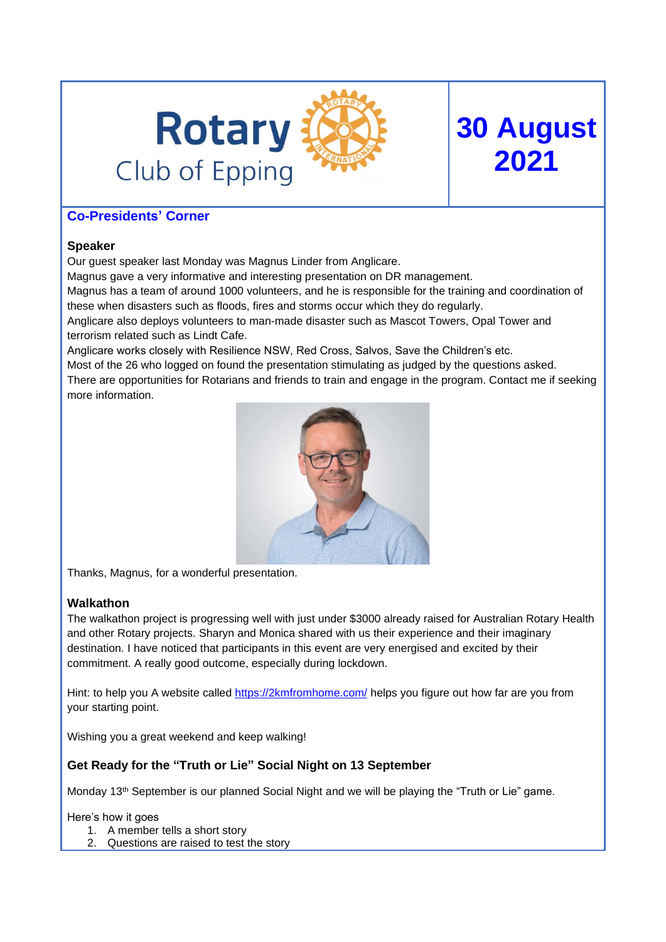

# **Co-Presidents' Corner**

### **Speaker**

Our guest speaker last Monday was Magnus Linder from Anglicare.

Magnus gave a very informative and interesting presentation on DR management.

Magnus has a team of around 1000 volunteers, and he is responsible for the training and coordination of these when disasters such as floods, fires and storms occur which they do regularly.

**30 August**

**2021**

Anglicare also deploys volunteers to man-made disaster such as Mascot Towers, Opal Tower and terrorism related such as Lindt Cafe.

Anglicare works closely with Resilience NSW, Red Cross, Salvos, Save the Children's etc.

Most of the 26 who logged on found the presentation stimulating as judged by the questions asked.

There are opportunities for Rotarians and friends to train and engage in the program. Contact me if seeking more information.



Thanks, Magnus, for a wonderful presentation.

### **Walkathon**

The walkathon project is progressing well with just under \$3000 already raised for Australian Rotary Health and other Rotary projects. Sharyn and Monica shared with us their experience and their imaginary destination. I have noticed that participants in this event are very energised and excited by their commitment. A really good outcome, especially during lockdown.

Hint: to help you A website called <https://2kmfromhome.com/> helps you figure out how far are you from your starting point.

Wishing you a great weekend and keep walking!

## **Get Ready for the "Truth or Lie" Social Night on 13 September**

Monday 13th September is our planned Social Night and we will be playing the "Truth or Lie" game.

Here's how it goes

- 1. A member tells a short story
- 2. Questions are raised to test the story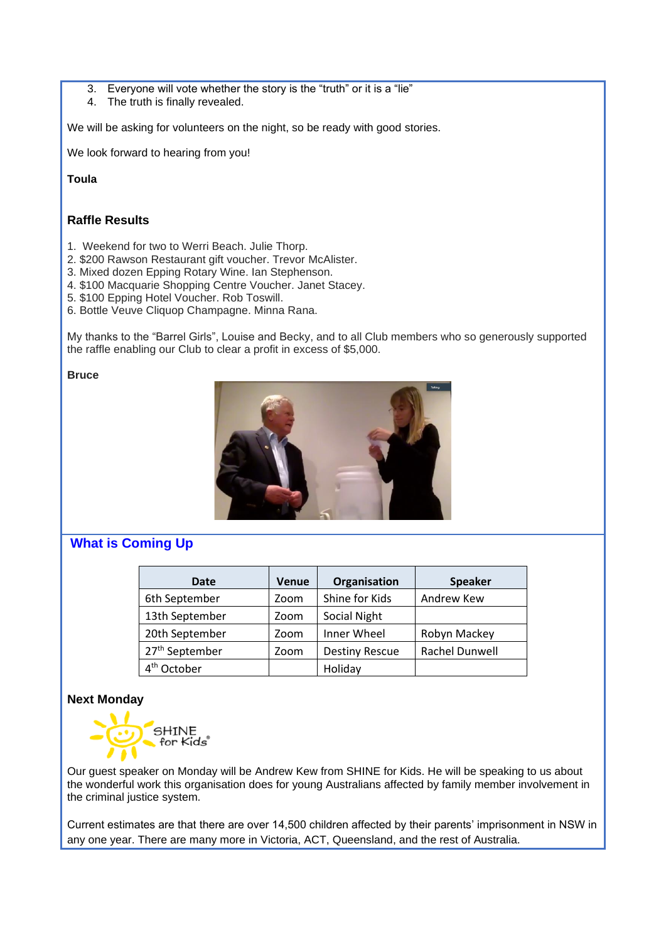- 3. Everyone will vote whether the story is the "truth" or it is a "lie"
- 4. The truth is finally revealed.

We will be asking for volunteers on the night, so be ready with good stories.

We look forward to hearing from you!

**Toula** 

### **Raffle Results**

- 1. Weekend for two to Werri Beach. Julie Thorp.
- 2. \$200 Rawson Restaurant gift voucher. Trevor McAlister.
- 3. Mixed dozen Epping Rotary Wine. Ian Stephenson.
- 4. \$100 Macquarie Shopping Centre Voucher. Janet Stacey.
- 5. \$100 Epping Hotel Voucher. Rob Toswill.
- 6. Bottle Veuve Cliquop Champagne. Minna Rana.

My thanks to the "Barrel Girls", Louise and Becky, and to all Club members who so generously supported the raffle enabling our Club to clear a profit in excess of \$5,000.

**Bruce**



# **What is Coming Up**

| Date                       | <b>Venue</b> | Organisation          | <b>Speaker</b> |
|----------------------------|--------------|-----------------------|----------------|
| 6th September              | Zoom         | Shine for Kids        | Andrew Kew     |
| 13th September             | Zoom         | Social Night          |                |
| 20th September             | Zoom         | Inner Wheel           | Robyn Mackey   |
| 27 <sup>th</sup> September | Zoom         | <b>Destiny Rescue</b> | Rachel Dunwell |
| 4 <sup>th</sup> October    |              | Holiday               |                |

### **Next Monday**



Our guest speaker on Monday will be Andrew Kew from SHINE for Kids. He will be speaking to us about the wonderful work this organisation does for young Australians affected by family member involvement in the criminal justice system.

Current estimates are that there are over 14,500 children affected by their parents' imprisonment in NSW in any one year. There are many more in Victoria, ACT, Queensland, and the rest of Australia.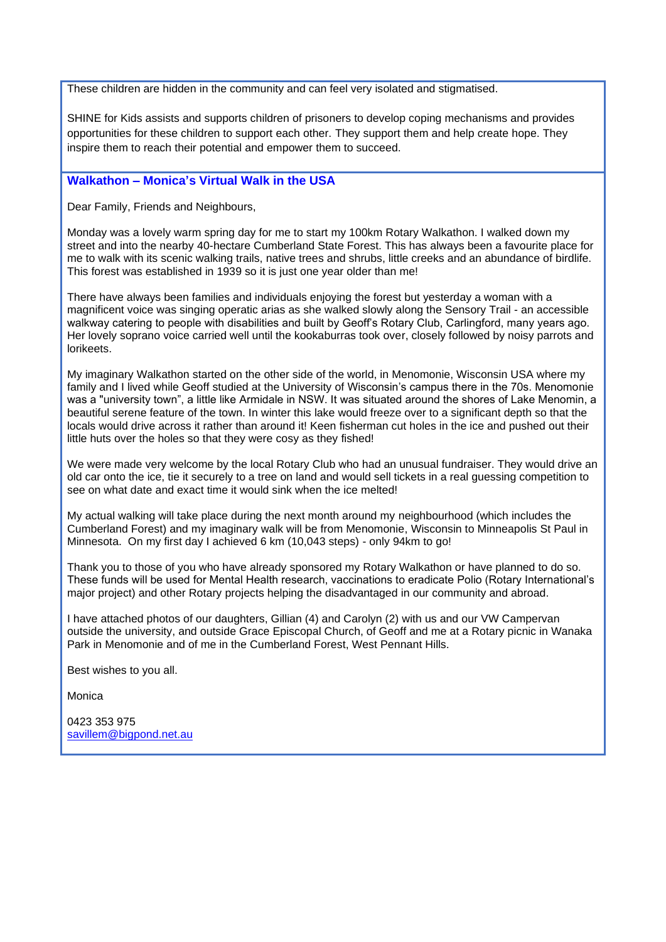These children are hidden in the community and can feel very isolated and stigmatised.

SHINE for Kids assists and supports children of prisoners to develop coping mechanisms and provides opportunities for these children to support each other. They support them and help create hope. They inspire them to reach their potential and empower them to succeed.

### **Walkathon – Monica's Virtual Walk in the USA**

Dear Family, Friends and Neighbours,

Monday was a lovely warm spring day for me to start my 100km Rotary Walkathon. I walked down my street and into the nearby 40-hectare Cumberland State Forest. This has always been a favourite place for me to walk with its scenic walking trails, native trees and shrubs, little creeks and an abundance of birdlife. This forest was established in 1939 so it is just one year older than me!

There have always been families and individuals enjoying the forest but yesterday a woman with a magnificent voice was singing operatic arias as she walked slowly along the Sensory Trail - an accessible walkway catering to people with disabilities and built by Geoff's Rotary Club, Carlingford, many years ago. Her lovely soprano voice carried well until the kookaburras took over, closely followed by noisy parrots and lorikeets.

My imaginary Walkathon started on the other side of the world, in Menomonie, Wisconsin USA where my family and I lived while Geoff studied at the University of Wisconsin's campus there in the 70s. Menomonie was a "university town", a little like Armidale in NSW. It was situated around the shores of Lake Menomin, a beautiful serene feature of the town. In winter this lake would freeze over to a significant depth so that the locals would drive across it rather than around it! Keen fisherman cut holes in the ice and pushed out their little huts over the holes so that they were cosy as they fished!

We were made very welcome by the local Rotary Club who had an unusual fundraiser. They would drive an old car onto the ice, tie it securely to a tree on land and would sell tickets in a real guessing competition to see on what date and exact time it would sink when the ice melted!

My actual walking will take place during the next month around my neighbourhood (which includes the Cumberland Forest) and my imaginary walk will be from Menomonie, Wisconsin to Minneapolis St Paul in Minnesota. On my first day I achieved 6 km (10,043 steps) - only 94km to go!

Thank you to those of you who have already sponsored my Rotary Walkathon or have planned to do so. These funds will be used for Mental Health research, vaccinations to eradicate Polio (Rotary International's major project) and other Rotary projects helping the disadvantaged in our community and abroad.

I have attached photos of our daughters, Gillian (4) and Carolyn (2) with us and our VW Campervan outside the university, and outside Grace Episcopal Church, of Geoff and me at a Rotary picnic in Wanaka Park in Menomonie and of me in the Cumberland Forest, West Pennant Hills.

Best wishes to you all.

Monica

0423 353 975 [savillem@bigpond.net.au](mailto:savillem@bigpond.net.au)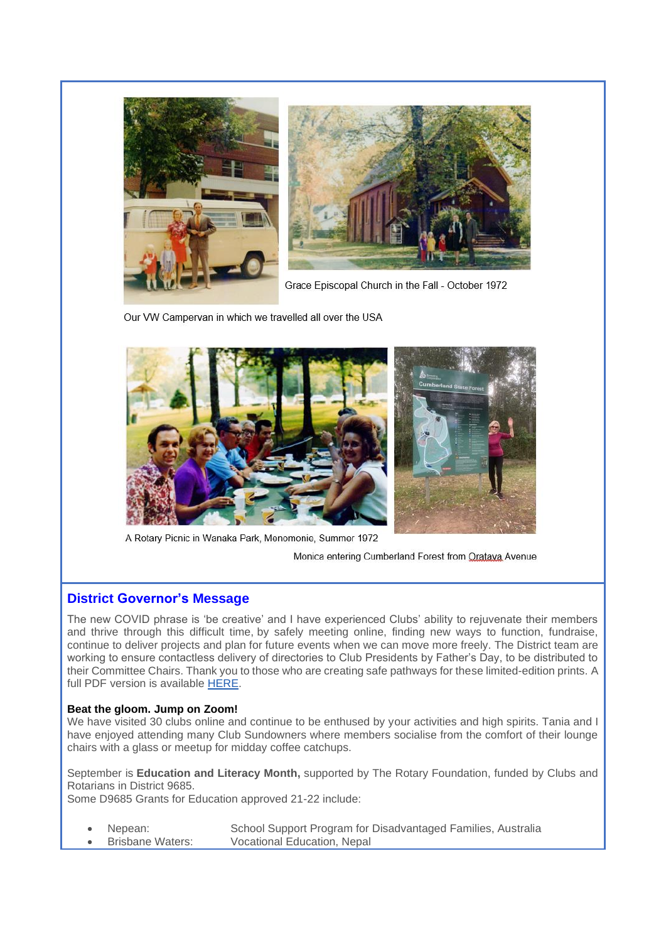

Grace Episcopal Church in the Fall - October 1972

Our VW Campervan in which we travelled all over the USA



A Rotary Picnic in Wanaka Park, Menomonie, Summer 1972

Monica entering Cumberland Forest from Oratava Avenue

### **District Governor's Message**

The new COVID phrase is 'be creative' and I have experienced Clubs' ability to rejuvenate their members and thrive through this difficult time, by safely meeting online, finding new ways to function, fundraise, continue to deliver projects and plan for future events when we can move more freely. The District team are working to ensure contactless delivery of directories to Club Presidents by Father's Day, to be distributed to their Committee Chairs. Thank you to those who are creating safe pathways for these limited-edition prints. A full PDF version is available [HERE.](https://www.rotarydistrict9685.org.au/page/district-directory)

#### **Beat the gloom. Jump on Zoom!**

We have visited 30 clubs online and continue to be enthused by your activities and high spirits. Tania and I have enjoyed attending many Club Sundowners where members socialise from the comfort of their lounge chairs with a glass or meetup for midday coffee catchups.

September is **Education and Literacy Month,** supported by The Rotary Foundation, funded by Clubs and Rotarians in District 9685.

Some D9685 Grants for Education approved 21-22 include:

| $\bullet$ | Nepean:          | School Support Program for Disadvantaged Families, Australia |  |
|-----------|------------------|--------------------------------------------------------------|--|
|           | Brisbane Waters: | Vocational Education, Nepal                                  |  |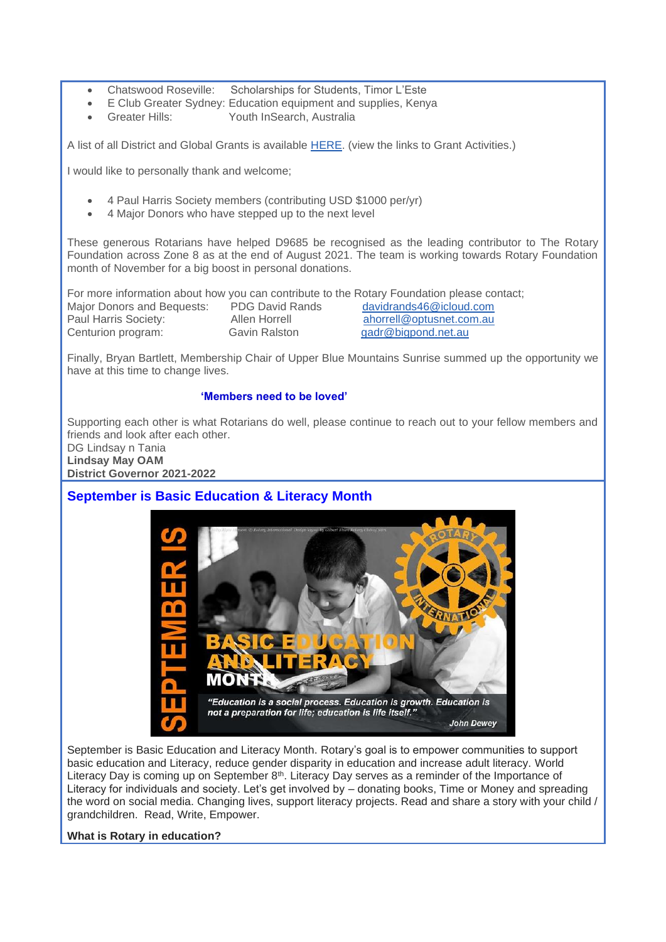- Chatswood Roseville: Scholarships for Students, Timor L'Este
- E Club Greater Sydney: Education equipment and supplies, Kenya
- Greater Hills: Youth InSearch, Australia

A list of all District and Global Grants is available [HERE.](https://www.rotarydistrict9685.org.au/sitepage/club-services-foundation) (view the links to Grant Activities.)

I would like to personally thank and welcome;

- 4 Paul Harris Society members (contributing USD \$1000 per/yr)
- 4 Major Donors who have stepped up to the next level

These generous Rotarians have helped D9685 be recognised as the leading contributor to The Rotary Foundation across Zone 8 as at the end of August 2021. The team is working towards Rotary Foundation month of November for a big boost in personal donations.

|                            |                        | For more information about how you can contribute to the Rotary Foundation please contact; |
|----------------------------|------------------------|--------------------------------------------------------------------------------------------|
| Major Donors and Bequests: | <b>PDG David Rands</b> | davidrands46@icloud.com                                                                    |
| Paul Harris Society:       | Allen Horrell          | ahorrell@optusnet.com.au                                                                   |
| Centurion program:         | Gavin Ralston          | gadr@bigpond.net.au                                                                        |

Finally, Bryan Bartlett, Membership Chair of Upper Blue Mountains Sunrise summed up the opportunity we have at this time to change lives.

#### **'Members need to be loved'**

Supporting each other is what Rotarians do well, please continue to reach out to your fellow members and friends and look after each other.

DG Lindsay n Tania **Lindsay May OAM District Governor 2021-2022**

## **September is Basic Education & Literacy Month**



September is Basic Education and Literacy Month. Rotary's goal is to empower communities to support basic education and Literacy, reduce gender disparity in education and increase adult literacy. World Literacy Day is coming up on September 8<sup>th</sup>. Literacy Day serves as a reminder of the Importance of Literacy for individuals and society. Let's get involved by – donating books, Time or Money and spreading the word on social media. Changing lives, support literacy projects. Read and share a story with your child / grandchildren. Read, Write, Empower.

#### **What is Rotary in education?**